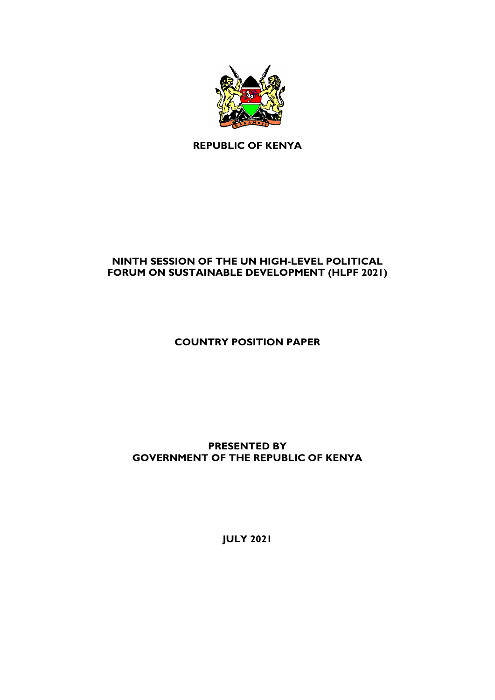

**REPUBLIC OF KENYA**

# **NINTH SESSION OF THE UN HIGH-LEVEL POLITICAL FORUM ON SUSTAINABLE DEVELOPMENT (HLPF 2021)**

**COUNTRY POSITION PAPER** 

**PRESENTED BY GOVERNMENT OF THE REPUBLIC OF KENYA**

**JULY 2021**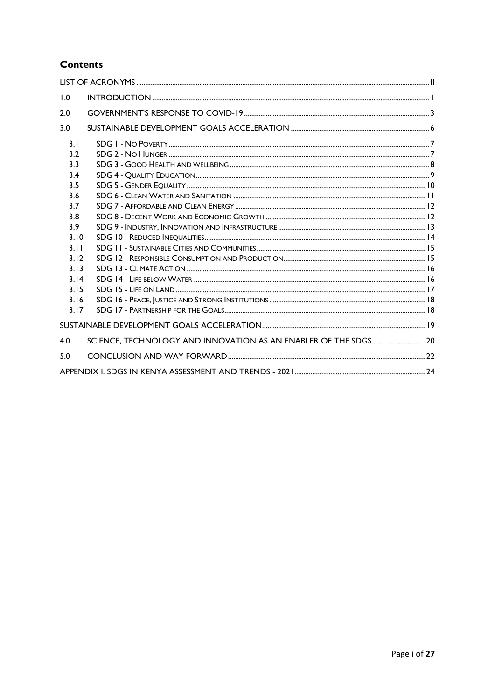# **Contents**

| 1.0  |  |
|------|--|
| 2.0  |  |
| 3.0  |  |
| 3.1  |  |
| 3.2  |  |
| 3.3  |  |
| 3.4  |  |
| 3.5  |  |
| 3.6  |  |
| 3.7  |  |
| 3.8  |  |
| 3.9  |  |
| 3.10 |  |
| 3.11 |  |
| 3.12 |  |
| 3.13 |  |
| 3.14 |  |
| 3.15 |  |
| 3.16 |  |
| 3.17 |  |
|      |  |
| 4.0  |  |
| 5.0  |  |
|      |  |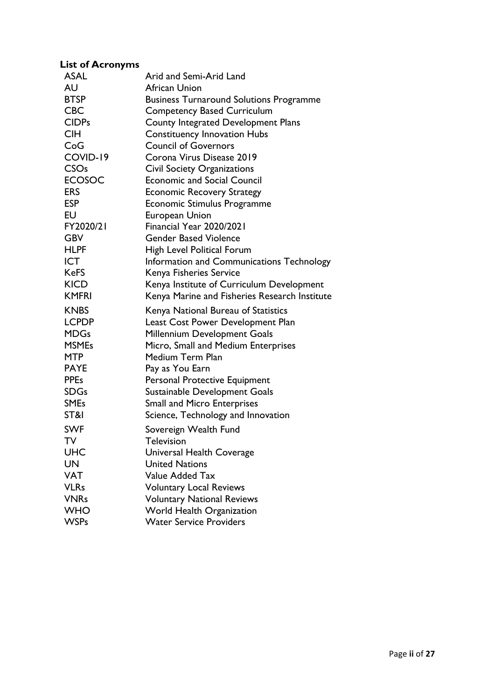#### <span id="page-2-0"></span>**List of Acronyms**

| <b>ASAL</b>            | Arid and Semi-Arid Land                        |
|------------------------|------------------------------------------------|
| AU                     | African Union                                  |
| <b>BTSP</b>            | <b>Business Turnaround Solutions Programme</b> |
| <b>CBC</b>             | <b>Competency Based Curriculum</b>             |
| <b>CIDPs</b>           | County Integrated Development Plans            |
| <b>CIH</b>             | <b>Constituency Innovation Hubs</b>            |
| CoG                    | <b>Council of Governors</b>                    |
| COVID-19               | Corona Virus Disease 2019                      |
| <b>CSO<sub>s</sub></b> | <b>Civil Society Organizations</b>             |
| <b>ECOSOC</b>          | <b>Economic and Social Council</b>             |
| <b>ERS</b>             | <b>Economic Recovery Strategy</b>              |
| <b>ESP</b>             | Economic Stimulus Programme                    |
| EU                     | <b>European Union</b>                          |
| FY2020/21              | Financial Year 2020/2021                       |
| <b>GBV</b>             | <b>Gender Based Violence</b>                   |
| <b>HLPF</b>            | High Level Political Forum                     |
| <b>ICT</b>             | Information and Communications Technology      |
| <b>KeFS</b>            | Kenya Fisheries Service                        |
| <b>KICD</b>            | Kenya Institute of Curriculum Development      |
| <b>KMFRI</b>           | Kenya Marine and Fisheries Research Institute  |
| <b>KNBS</b>            | Kenya National Bureau of Statistics            |
| <b>LCPDP</b>           | Least Cost Power Development Plan              |
| <b>MDGs</b>            | Millennium Development Goals                   |
| <b>MSMEs</b>           | Micro, Small and Medium Enterprises            |
| <b>MTP</b>             | Medium Term Plan                               |
| <b>PAYE</b>            | Pay as You Earn                                |
| <b>PPEs</b>            | Personal Protective Equipment                  |
| <b>SDGs</b>            | Sustainable Development Goals                  |
| <b>SMEs</b>            | <b>Small and Micro Enterprises</b>             |
| ST&I                   | Science, Technology and Innovation             |
| <b>SWF</b>             | Sovereign Wealth Fund                          |
| TV                     | <b>Lelevision</b>                              |
| UHC                    | Universal Health Coverage                      |
| <b>UN</b>              | <b>United Nations</b>                          |
| <b>VAT</b>             | Value Added Tax                                |
| <b>VLRs</b>            | <b>Voluntary Local Reviews</b>                 |
| <b>VNRs</b>            | <b>Voluntary National Reviews</b>              |
| <b>WHO</b>             | World Health Organization                      |
| <b>WSPs</b>            | <b>Water Service Providers</b>                 |
|                        |                                                |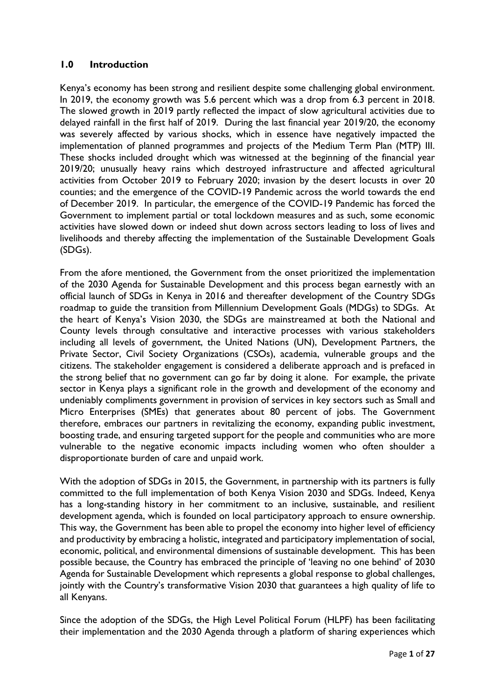### <span id="page-3-0"></span>**1.0 Introduction**

Kenya's economy has been strong and resilient despite some challenging global environment. In 2019, the economy growth was 5.6 percent which was a drop from 6.3 percent in 2018. The slowed growth in 2019 partly reflected the impact of slow agricultural activities due to delayed rainfall in the first half of 2019. During the last financial year 2019/20, the economy was severely affected by various shocks, which in essence have negatively impacted the implementation of planned programmes and projects of the Medium Term Plan (MTP) III. These shocks included drought which was witnessed at the beginning of the financial year 2019/20; unusually heavy rains which destroyed infrastructure and affected agricultural activities from October 2019 to February 2020; invasion by the desert locusts in over 20 counties; and the emergence of the COVID-19 Pandemic across the world towards the end of December 2019. In particular, the emergence of the COVID-19 Pandemic has forced the Government to implement partial or total lockdown measures and as such, some economic activities have slowed down or indeed shut down across sectors leading to loss of lives and livelihoods and thereby affecting the implementation of the Sustainable Development Goals (SDGs).

From the afore mentioned, the Government from the onset prioritized the implementation of the 2030 Agenda for Sustainable Development and this process began earnestly with an official launch of SDGs in Kenya in 2016 and thereafter development of the Country SDGs roadmap to guide the transition from Millennium Development Goals (MDGs) to SDGs. At the heart of Kenya's Vision 2030, the SDGs are mainstreamed at both the National and County levels through consultative and interactive processes with various stakeholders including all levels of government, the United Nations (UN), Development Partners, the Private Sector, Civil Society Organizations (CSOs), academia, vulnerable groups and the citizens. The stakeholder engagement is considered a deliberate approach and is prefaced in the strong belief that no government can go far by doing it alone. For example, the private sector in Kenya plays a significant role in the growth and development of the economy and undeniably compliments government in provision of services in key sectors such as Small and Micro Enterprises (SMEs) that generates about 80 percent of jobs. The Government therefore, embraces our partners in revitalizing the economy, expanding public investment, boosting trade, and ensuring targeted support for the people and communities who are more vulnerable to the negative economic impacts including women who often shoulder a disproportionate burden of care and unpaid work.

With the adoption of SDGs in 2015, the Government, in partnership with its partners is fully committed to the full implementation of both Kenya Vision 2030 and SDGs. Indeed, Kenya has a long-standing history in her commitment to an inclusive, sustainable, and resilient development agenda, which is founded on local participatory approach to ensure ownership. This way, the Government has been able to propel the economy into higher level of efficiency and productivity by embracing a holistic, integrated and participatory implementation of social, economic, political, and environmental dimensions of sustainable development. This has been possible because, the Country has embraced the principle of 'leaving no one behind' of 2030 Agenda for Sustainable Development which represents a global response to global challenges, jointly with the Country's transformative Vision 2030 that guarantees a high quality of life to all Kenyans.

Since the adoption of the SDGs, the High Level Political Forum (HLPF) has been facilitating their implementation and the 2030 Agenda through a platform of sharing experiences which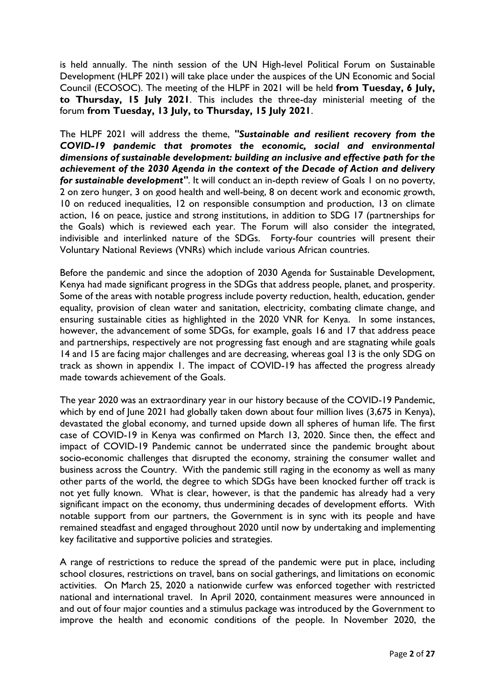is held annually. The ninth session of the UN High-level Political Forum on Sustainable Development (HLPF 2021) will take place under the auspices of the UN Economic and Social Council (ECOSOC). The meeting of the HLPF in 2021 will be held **from Tuesday, 6 July, to Thursday, 15 July 2021**. This includes the three-day ministerial meeting of the forum **from Tuesday, 13 July, to Thursday, 15 July 2021**.

The HLPF 2021 will address the theme, *"Sustainable and resilient recovery from the COVID-19 pandemic that promotes the economic, social and environmental dimensions of sustainable development: building an inclusive and effective path for the achievement of the 2030 Agenda in the context of the Decade of Action and delivery for sustainable development*". It will conduct an in-depth review of Goals 1 on no poverty, 2 on zero hunger, 3 on good health and well-being, 8 on decent work and economic growth, 10 on reduced inequalities, 12 on responsible consumption and production, 13 on climate action, 16 on peace, justice and strong institutions, in addition to SDG 17 (partnerships for the Goals) which is reviewed each year. The Forum will also consider the integrated, indivisible and interlinked nature of the SDGs. Forty-four countries will present their Voluntary National Reviews (VNRs) which include various African countries.

Before the pandemic and since the adoption of 2030 Agenda for Sustainable Development, Kenya had made significant progress in the SDGs that address people, planet, and prosperity. Some of the areas with notable progress include poverty reduction, health, education, gender equality, provision of clean water and sanitation, electricity, combating climate change, and ensuring sustainable cities as highlighted in the 2020 VNR for Kenya. In some instances, however, the advancement of some SDGs, for example, goals 16 and 17 that address peace and partnerships, respectively are not progressing fast enough and are stagnating while goals 14 and 15 are facing major challenges and are decreasing, whereas goal 13 is the only SDG on track as shown in appendix 1. The impact of COVID-19 has affected the progress already made towards achievement of the Goals.

The year 2020 was an extraordinary year in our history because of the COVID-19 Pandemic, which by end of June 2021 had globally taken down about four million lives (3,675 in Kenya), devastated the global economy, and turned upside down all spheres of human life. The first case of COVID-19 in Kenya was confirmed on March 13, 2020. Since then, the effect and impact of COVID-19 Pandemic cannot be underrated since the pandemic brought about socio-economic challenges that disrupted the economy, straining the consumer wallet and business across the Country. With the pandemic still raging in the economy as well as many other parts of the world, the degree to which SDGs have been knocked further off track is not yet fully known. What is clear, however, is that the pandemic has already had a very significant impact on the economy, thus undermining decades of development efforts. With notable support from our partners, the Government is in sync with its people and have remained steadfast and engaged throughout 2020 until now by undertaking and implementing key facilitative and supportive policies and strategies.

A range of restrictions to reduce the spread of the pandemic were put in place, including school closures, restrictions on travel, bans on social gatherings, and limitations on economic activities. On March 25, 2020 a nationwide curfew was enforced together with restricted national and international travel. In April 2020, containment measures were announced in and out of four major counties and a stimulus package was introduced by the Government to improve the health and economic conditions of the people. In November 2020, the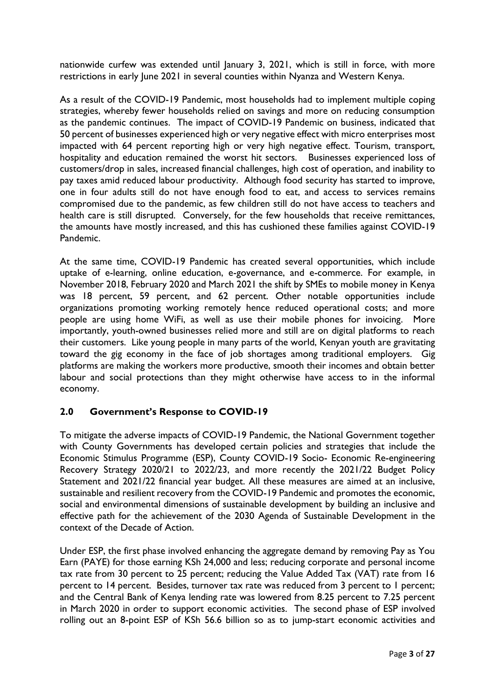nationwide curfew was extended until January 3, 2021, which is still in force, with more restrictions in early June 2021 in several counties within Nyanza and Western Kenya.

As a result of the COVID-19 Pandemic, most households had to implement multiple coping strategies, whereby fewer households relied on savings and more on reducing consumption as the pandemic continues. The impact of COVID-19 Pandemic on business, indicated that 50 percent of businesses experienced high or very negative effect with micro enterprises most impacted with 64 percent reporting high or very high negative effect. Tourism, transport, hospitality and education remained the worst hit sectors. Businesses experienced loss of customers/drop in sales, increased financial challenges, high cost of operation, and inability to pay taxes amid reduced labour productivity. Although food security has started to improve, one in four adults still do not have enough food to eat, and access to services remains compromised due to the pandemic, as few children still do not have access to teachers and health care is still disrupted. Conversely, for the few households that receive remittances, the amounts have mostly increased, and this has cushioned these families against COVID-19 Pandemic.

At the same time, COVID-19 Pandemic has created several opportunities, which include uptake of e-learning, online education, e-governance, and e-commerce. For example, in November 2018, February 2020 and March 2021 the shift by SMEs to mobile money in Kenya was 18 percent, 59 percent, and 62 percent. Other notable opportunities include organizations promoting working remotely hence reduced operational costs; and more people are using home WiFi, as well as use their mobile phones for invoicing. More importantly, youth-owned businesses relied more and still are on digital platforms to reach their customers. Like young people in many parts of the world, Kenyan youth are gravitating toward the gig economy in the face of job shortages among traditional employers. Gig platforms are making the workers more productive, smooth their incomes and obtain better labour and social protections than they might otherwise have access to in the informal economy.

## <span id="page-5-0"></span>**2.0 Government's Response to COVID-19**

To mitigate the adverse impacts of COVID-19 Pandemic, the National Government together with County Governments has developed certain policies and strategies that include the Economic Stimulus Programme (ESP), County COVID-19 Socio- Economic Re-engineering Recovery Strategy 2020/21 to 2022/23, and more recently the 2021/22 Budget Policy Statement and 2021/22 financial year budget. All these measures are aimed at an inclusive, sustainable and resilient recovery from the COVID-19 Pandemic and promotes the economic, social and environmental dimensions of sustainable development by building an inclusive and effective path for the achievement of the 2030 Agenda of Sustainable Development in the context of the Decade of Action.

Under ESP, the first phase involved enhancing the aggregate demand by removing Pay as You Earn (PAYE) for those earning KSh 24,000 and less; reducing corporate and personal income tax rate from 30 percent to 25 percent; reducing the Value Added Tax (VAT) rate from 16 percent to 14 percent. Besides, turnover tax rate was reduced from 3 percent to 1 percent; and the Central Bank of Kenya lending rate was lowered from 8.25 percent to 7.25 percent in March 2020 in order to support economic activities. The second phase of ESP involved rolling out an 8-point ESP of KSh 56.6 billion so as to jump-start economic activities and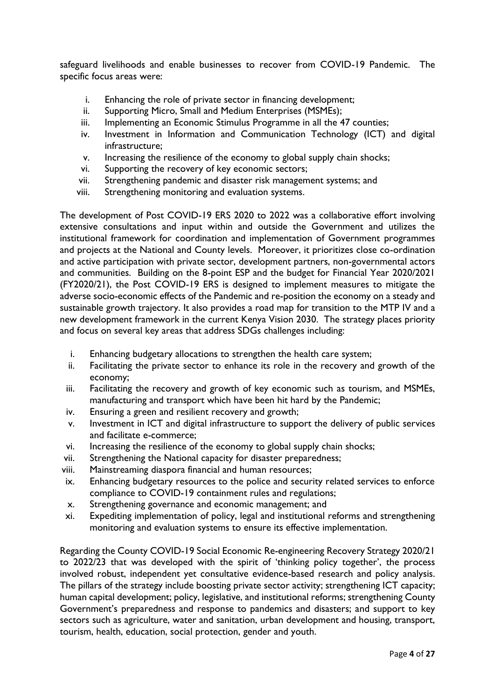safeguard livelihoods and enable businesses to recover from COVID-19 Pandemic. The specific focus areas were:

- i. Enhancing the role of private sector in financing development;
- ii. Supporting Micro, Small and Medium Enterprises (MSMEs);
- iii. Implementing an Economic Stimulus Programme in all the 47 counties;
- iv. Investment in Information and Communication Technology (ICT) and digital infrastructure;
- v. Increasing the resilience of the economy to global supply chain shocks;
- vi. Supporting the recovery of key economic sectors;
- vii. Strengthening pandemic and disaster risk management systems; and
- viii. Strengthening monitoring and evaluation systems.

The development of Post COVID-19 ERS 2020 to 2022 was a collaborative effort involving extensive consultations and input within and outside the Government and utilizes the institutional framework for coordination and implementation of Government programmes and projects at the National and County levels. Moreover, it prioritizes close co-ordination and active participation with private sector, development partners, non-governmental actors and communities. Building on the 8-point ESP and the budget for Financial Year 2020/2021 (FY2020/21), the Post COVID-19 ERS is designed to implement measures to mitigate the adverse socio-economic effects of the Pandemic and re-position the economy on a steady and sustainable growth trajectory. It also provides a road map for transition to the MTP IV and a new development framework in the current Kenya Vision 2030. The strategy places priority and focus on several key areas that address SDGs challenges including:

- i. Enhancing budgetary allocations to strengthen the health care system;
- ii. Facilitating the private sector to enhance its role in the recovery and growth of the economy;
- iii. Facilitating the recovery and growth of key economic such as tourism, and MSMEs, manufacturing and transport which have been hit hard by the Pandemic;
- iv. Ensuring a green and resilient recovery and growth;
- v. Investment in ICT and digital infrastructure to support the delivery of public services and facilitate e-commerce;
- vi. Increasing the resilience of the economy to global supply chain shocks;
- vii. Strengthening the National capacity for disaster preparedness;
- viii. Mainstreaming diaspora financial and human resources;
- ix. Enhancing budgetary resources to the police and security related services to enforce compliance to COVID-19 containment rules and regulations;
- x. Strengthening governance and economic management; and
- xi. Expediting implementation of policy, legal and institutional reforms and strengthening monitoring and evaluation systems to ensure its effective implementation.

Regarding the County COVID-19 Social Economic Re-engineering Recovery Strategy 2020/21 to 2022/23 that was developed with the spirit of 'thinking policy together', the process involved robust, independent yet consultative evidence-based research and policy analysis. The pillars of the strategy include boosting private sector activity; strengthening ICT capacity; human capital development; policy, legislative, and institutional reforms; strengthening County Government's preparedness and response to pandemics and disasters; and support to key sectors such as agriculture, water and sanitation, urban development and housing, transport, tourism, health, education, social protection, gender and youth.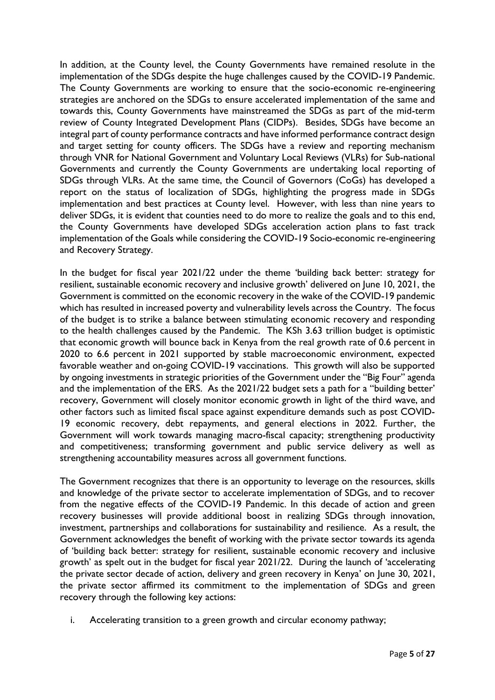In addition, at the County level, the County Governments have remained resolute in the implementation of the SDGs despite the huge challenges caused by the COVID-19 Pandemic. The County Governments are working to ensure that the socio-economic re-engineering strategies are anchored on the SDGs to ensure accelerated implementation of the same and towards this, County Governments have mainstreamed the SDGs as part of the mid-term review of County Integrated Development Plans (CIDPs). Besides, SDGs have become an integral part of county performance contracts and have informed performance contract design and target setting for county officers. The SDGs have a review and reporting mechanism through VNR for National Government and Voluntary Local Reviews (VLRs) for Sub-national Governments and currently the County Governments are undertaking local reporting of SDGs through VLRs. At the same time, the Council of Governors (CoGs) has developed a report on the status of localization of SDGs, highlighting the progress made in SDGs implementation and best practices at County level. However, with less than nine years to deliver SDGs, it is evident that counties need to do more to realize the goals and to this end, the County Governments have developed SDGs acceleration action plans to fast track implementation of the Goals while considering the COVID-19 Socio-economic re-engineering and Recovery Strategy.

In the budget for fiscal year 2021/22 under the theme 'building back better: strategy for resilient, sustainable economic recovery and inclusive growth' delivered on June 10, 2021, the Government is committed on the economic recovery in the wake of the COVID-19 pandemic which has resulted in increased poverty and vulnerability levels across the Country. The focus of the budget is to strike a balance between stimulating economic recovery and responding to the health challenges caused by the Pandemic. The KSh 3.63 trillion budget is optimistic that economic growth will bounce back in Kenya from the real growth rate of 0.6 percent in 2020 to 6.6 percent in 2021 supported by stable macroeconomic environment, expected favorable weather and on-going COVID-19 vaccinations. This growth will also be supported by ongoing investments in strategic priorities of the Government under the "Big Four" agenda and the implementation of the ERS. As the 2021/22 budget sets a path for a "building better' recovery, Government will closely monitor economic growth in light of the third wave, and other factors such as limited fiscal space against expenditure demands such as post COVID-19 economic recovery, debt repayments, and general elections in 2022. Further, the Government will work towards managing macro-fiscal capacity; strengthening productivity and competitiveness; transforming government and public service delivery as well as strengthening accountability measures across all government functions.

The Government recognizes that there is an opportunity to leverage on the resources, skills and knowledge of the private sector to accelerate implementation of SDGs, and to recover from the negative effects of the COVID-19 Pandemic. In this decade of action and green recovery businesses will provide additional boost in realizing SDGs through innovation, investment, partnerships and collaborations for sustainability and resilience. As a result, the Government acknowledges the benefit of working with the private sector towards its agenda of 'building back better: strategy for resilient, sustainable economic recovery and inclusive growth' as spelt out in the budget for fiscal year 2021/22. During the launch of 'accelerating the private sector decade of action, delivery and green recovery in Kenya' on June 30, 2021, the private sector affirmed its commitment to the implementation of SDGs and green recovery through the following key actions:

i. Accelerating transition to a green growth and circular economy pathway;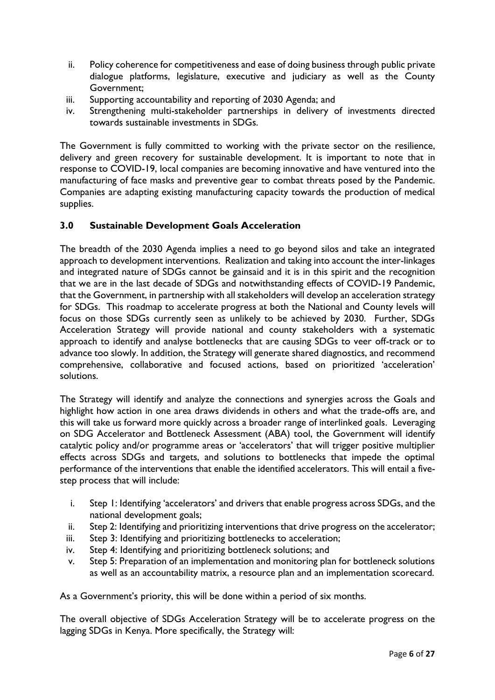- ii. Policy coherence for competitiveness and ease of doing business through public private dialogue platforms, legislature, executive and judiciary as well as the County Government;
- iii. Supporting accountability and reporting of 2030 Agenda; and
- iv. Strengthening multi-stakeholder partnerships in delivery of investments directed towards sustainable investments in SDGs.

The Government is fully committed to working with the private sector on the resilience, delivery and green recovery for sustainable development. It is important to note that in response to COVID-19, local companies are becoming innovative and have ventured into the manufacturing of face masks and preventive gear to combat threats posed by the Pandemic. Companies are adapting existing manufacturing capacity towards the production of medical supplies.

## <span id="page-8-0"></span>**3.0 Sustainable Development Goals Acceleration**

The breadth of the 2030 Agenda implies a need to go beyond silos and take an integrated approach to development interventions. Realization and taking into account the inter-linkages and integrated nature of SDGs cannot be gainsaid and it is in this spirit and the recognition that we are in the last decade of SDGs and notwithstanding effects of COVID-19 Pandemic, that the Government, in partnership with all stakeholders will develop an acceleration strategy for SDGs. This roadmap to accelerate progress at both the National and County levels will focus on those SDGs currently seen as unlikely to be achieved by 2030. Further, SDGs Acceleration Strategy will provide national and county stakeholders with a systematic approach to identify and analyse bottlenecks that are causing SDGs to veer off-track or to advance too slowly. In addition, the Strategy will generate shared diagnostics, and recommend comprehensive, collaborative and focused actions, based on prioritized 'acceleration' solutions.

The Strategy will identify and analyze the connections and synergies across the Goals and highlight how action in one area draws dividends in others and what the trade-offs are, and this will take us forward more quickly across a broader range of interlinked goals. Leveraging on SDG Accelerator and Bottleneck Assessment (ABA) tool, the Government will identify catalytic policy and/or programme areas or 'accelerators' that will trigger positive multiplier effects across SDGs and targets, and solutions to bottlenecks that impede the optimal performance of the interventions that enable the identified accelerators. This will entail a fivestep process that will include:

- i. Step 1: Identifying 'accelerators' and drivers that enable progress across SDGs, and the national development goals;
- ii. Step 2: Identifying and prioritizing interventions that drive progress on the accelerator;
- iii. Step 3: Identifying and prioritizing bottlenecks to acceleration;
- iv. Step 4: Identifying and prioritizing bottleneck solutions; and
- v. Step 5: Preparation of an implementation and monitoring plan for bottleneck solutions as well as an accountability matrix, a resource plan and an implementation scorecard.

As a Government's priority, this will be done within a period of six months.

The overall objective of SDGs Acceleration Strategy will be to accelerate progress on the lagging SDGs in Kenya. More specifically, the Strategy will: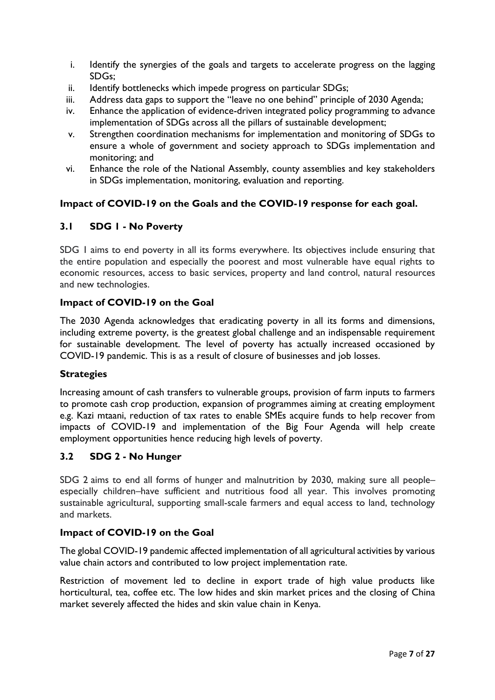- i. Identify the synergies of the goals and targets to accelerate progress on the lagging SDGs;
- ii. Identify bottlenecks which impede progress on particular SDGs;
- iii. Address data gaps to support the "leave no one behind" principle of 2030 Agenda;
- iv. Enhance the application of evidence-driven integrated policy programming to advance implementation of SDGs across all the pillars of sustainable development;
- v. Strengthen coordination mechanisms for implementation and monitoring of SDGs to ensure a whole of government and society approach to SDGs implementation and monitoring; and
- vi. Enhance the role of the National Assembly, county assemblies and key stakeholders in SDGs implementation, monitoring, evaluation and reporting.

## **Impact of COVID-19 on the Goals and the COVID-19 response for each goal.**

## <span id="page-9-0"></span>**3.1 SDG 1 - No Poverty**

SDG 1 aims to end poverty in all its forms everywhere. Its objectives include ensuring that the entire population and especially the poorest and most vulnerable have equal rights to economic resources, access to basic services, property and land control, natural resources and new technologies.

## **Impact of COVID-19 on the Goal**

The 2030 Agenda acknowledges that eradicating poverty in all its forms and dimensions, including extreme poverty, is the greatest global challenge and an indispensable requirement for sustainable development. The level of poverty has actually increased occasioned by COVID-19 pandemic. This is as a result of closure of businesses and job losses.

## **Strategies**

Increasing amount of cash transfers to vulnerable groups, provision of farm inputs to farmers to promote cash crop production, expansion of programmes aiming at creating employment e.g. Kazi mtaani, reduction of tax rates to enable SMEs acquire funds to help recover from impacts of COVID-19 and implementation of the Big Four Agenda will help create employment opportunities hence reducing high levels of poverty.

## <span id="page-9-1"></span>**3.2 SDG 2 - No Hunger**

SDG 2 aims to end all forms of hunger and malnutrition by 2030, making sure all people– especially children–have sufficient and nutritious food all year. This involves promoting sustainable agricultural, supporting small-scale farmers and equal access to land, technology and markets.

## **Impact of COVID-19 on the Goal**

The global COVID-19 pandemic affected implementation of all agricultural activities by various value chain actors and contributed to low project implementation rate.

Restriction of movement led to decline in export trade of high value products like horticultural, tea, coffee etc. The low hides and skin market prices and the closing of China market severely affected the hides and skin value chain in Kenya.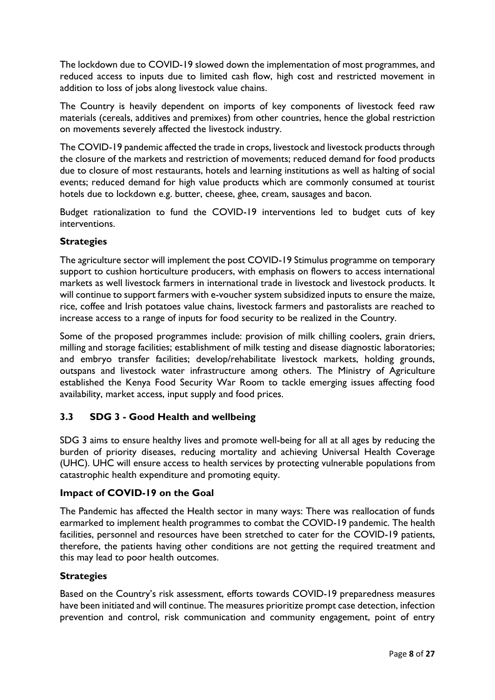The lockdown due to COVID-19 slowed down the implementation of most programmes, and reduced access to inputs due to limited cash flow, high cost and restricted movement in addition to loss of jobs along livestock value chains.

The Country is heavily dependent on imports of key components of livestock feed raw materials (cereals, additives and premixes) from other countries, hence the global restriction on movements severely affected the livestock industry.

The COVID-19 pandemic affected the trade in crops, livestock and livestock products through the closure of the markets and restriction of movements; reduced demand for food products due to closure of most restaurants, hotels and learning institutions as well as halting of social events; reduced demand for high value products which are commonly consumed at tourist hotels due to lockdown e.g. butter, cheese, ghee, cream, sausages and bacon.

Budget rationalization to fund the COVID-19 interventions led to budget cuts of key interventions.

## **Strategies**

The agriculture sector will implement the post COVID-19 Stimulus programme on temporary support to cushion horticulture producers, with emphasis on flowers to access international markets as well livestock farmers in international trade in livestock and livestock products. It will continue to support farmers with e-voucher system subsidized inputs to ensure the maize, rice, coffee and Irish potatoes value chains, livestock farmers and pastoralists are reached to increase access to a range of inputs for food security to be realized in the Country.

Some of the proposed programmes include: provision of milk chilling coolers, grain driers, milling and storage facilities; establishment of milk testing and disease diagnostic laboratories; and embryo transfer facilities; develop/rehabilitate livestock markets, holding grounds, outspans and livestock water infrastructure among others. The Ministry of Agriculture established the Kenya Food Security War Room to tackle emerging issues affecting food availability, market access, input supply and food prices.

# <span id="page-10-0"></span>**3.3 SDG 3 - Good Health and wellbeing**

SDG 3 aims to ensure healthy lives and promote well-being for all at all ages by reducing the burden of priority diseases, reducing mortality and achieving Universal Health Coverage (UHC). UHC will ensure access to health services by protecting vulnerable populations from catastrophic health expenditure and promoting equity.

#### **Impact of COVID-19 on the Goal**

The Pandemic has affected the Health sector in many ways: There was reallocation of funds earmarked to implement health programmes to combat the COVID-19 pandemic. The health facilities, personnel and resources have been stretched to cater for the COVID-19 patients, therefore, the patients having other conditions are not getting the required treatment and this may lead to poor health outcomes.

## **Strategies**

Based on the Country's risk assessment, efforts towards COVID-19 preparedness measures have been initiated and will continue. The measures prioritize prompt case detection, infection prevention and control, risk communication and community engagement, point of entry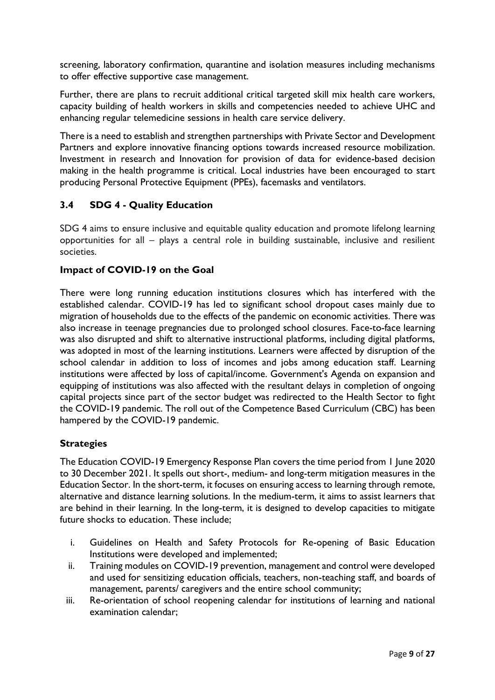screening, laboratory confirmation, quarantine and isolation measures including mechanisms to offer effective supportive case management.

Further, there are plans to recruit additional critical targeted skill mix health care workers, capacity building of health workers in skills and competencies needed to achieve UHC and enhancing regular telemedicine sessions in health care service delivery.

There is a need to establish and strengthen partnerships with Private Sector and Development Partners and explore innovative financing options towards increased resource mobilization. Investment in research and Innovation for provision of data for evidence-based decision making in the health programme is critical. Local industries have been encouraged to start producing Personal Protective Equipment (PPEs), facemasks and ventilators.

## <span id="page-11-0"></span>**3.4 SDG 4 - Quality Education**

SDG 4 aims to ensure inclusive and equitable quality education and promote lifelong learning opportunities for all – plays a central role in building sustainable, inclusive and resilient societies.

### **Impact of COVID-19 on the Goal**

There were long running education institutions closures which has interfered with the established calendar. COVID-19 has led to significant school dropout cases mainly due to migration of households due to the effects of the pandemic on economic activities. There was also increase in teenage pregnancies due to prolonged school closures. Face-to-face learning was also disrupted and shift to alternative instructional platforms, including digital platforms, was adopted in most of the learning institutions. Learners were affected by disruption of the school calendar in addition to loss of incomes and jobs among education staff. Learning institutions were affected by loss of capital/income. Government's Agenda on expansion and equipping of institutions was also affected with the resultant delays in completion of ongoing capital projects since part of the sector budget was redirected to the Health Sector to fight the COVID-19 pandemic. The roll out of the Competence Based Curriculum (CBC) has been hampered by the COVID-19 pandemic.

## **Strategies**

The Education COVID-19 Emergency Response Plan covers the time period from 1 June 2020 to 30 December 2021. It spells out short-, medium- and long-term mitigation measures in the Education Sector. In the short-term, it focuses on ensuring access to learning through remote, alternative and distance learning solutions. In the medium-term, it aims to assist learners that are behind in their learning. In the long-term, it is designed to develop capacities to mitigate future shocks to education. These include;

- i. Guidelines on Health and Safety Protocols for Re-opening of Basic Education Institutions were developed and implemented;
- ii. Training modules on COVID-19 prevention, management and control were developed and used for sensitizing education officials, teachers, non-teaching staff, and boards of management, parents/ caregivers and the entire school community;
- iii. Re-orientation of school reopening calendar for institutions of learning and national examination calendar;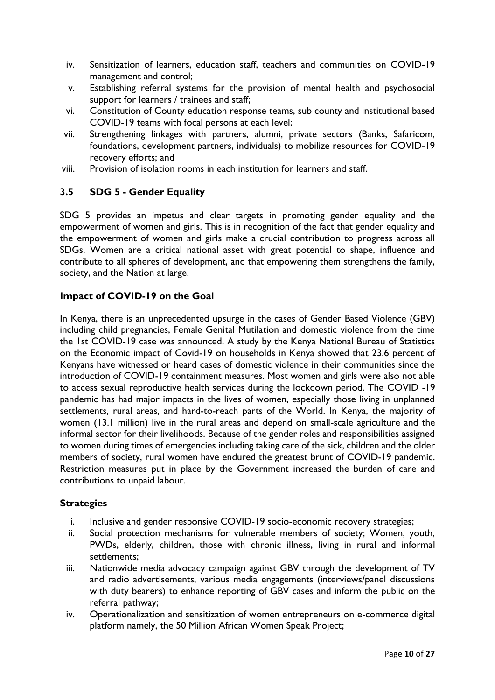- iv. Sensitization of learners, education staff, teachers and communities on COVID-19 management and control;
- v. Establishing referral systems for the provision of mental health and psychosocial support for learners / trainees and staff;
- vi. Constitution of County education response teams, sub county and institutional based COVID-19 teams with focal persons at each level;
- vii. Strengthening linkages with partners, alumni, private sectors (Banks, Safaricom, foundations, development partners, individuals) to mobilize resources for COVID-19 recovery efforts; and
- viii. Provision of isolation rooms in each institution for learners and staff.

## <span id="page-12-0"></span>**3.5 SDG 5 - Gender Equality**

SDG 5 provides an impetus and clear targets in promoting gender equality and the empowerment of women and girls. This is in recognition of the fact that gender equality and the empowerment of women and girls make a crucial contribution to progress across all SDGs. Women are a critical national asset with great potential to shape, influence and contribute to all spheres of development, and that empowering them strengthens the family, society, and the Nation at large.

### **Impact of COVID-19 on the Goal**

In Kenya, there is an unprecedented upsurge in the cases of Gender Based Violence (GBV) including child pregnancies, Female Genital Mutilation and domestic violence from the time the 1st COVID-19 case was announced. A study by the Kenya National Bureau of Statistics on the Economic impact of Covid-19 on households in Kenya showed that 23.6 percent of Kenyans have witnessed or heard cases of domestic violence in their communities since the introduction of COVID-19 containment measures. Most women and girls were also not able to access sexual reproductive health services during the lockdown period. The COVID -19 pandemic has had major impacts in the lives of women, especially those living in unplanned settlements, rural areas, and hard-to-reach parts of the World. In Kenya, the majority of women (13.1 million) live in the rural areas and depend on small-scale agriculture and the informal sector for their livelihoods. Because of the gender roles and responsibilities assigned to women during times of emergencies including taking care of the sick, children and the older members of society, rural women have endured the greatest brunt of COVID-19 pandemic. Restriction measures put in place by the Government increased the burden of care and contributions to unpaid labour.

## **Strategies**

- i. Inclusive and gender responsive COVID-19 socio-economic recovery strategies;
- ii. Social protection mechanisms for vulnerable members of society; Women, youth, PWDs, elderly, children, those with chronic illness, living in rural and informal settlements;
- iii. Nationwide media advocacy campaign against GBV through the development of TV and radio advertisements, various media engagements (interviews/panel discussions with duty bearers) to enhance reporting of GBV cases and inform the public on the referral pathway;
- iv. Operationalization and sensitization of women entrepreneurs on e-commerce digital platform namely, the 50 Million African Women Speak Project;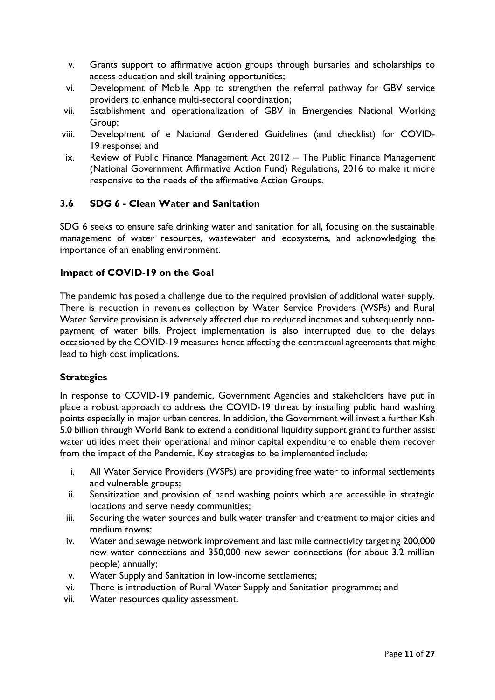- v. Grants support to affirmative action groups through bursaries and scholarships to access education and skill training opportunities;
- vi. Development of Mobile App to strengthen the referral pathway for GBV service providers to enhance multi-sectoral coordination;
- vii. Establishment and operationalization of GBV in Emergencies National Working Group;
- viii. Development of e National Gendered Guidelines (and checklist) for COVID-19 response; and
- ix. Review of Public Finance Management Act 2012 The Public Finance Management (National Government Affirmative Action Fund) Regulations, 2016 to make it more responsive to the needs of the affirmative Action Groups.

## <span id="page-13-0"></span>**3.6 SDG 6 - Clean Water and Sanitation**

SDG 6 seeks to ensure safe drinking water and sanitation for all, focusing on the sustainable management of water resources, wastewater and ecosystems, and acknowledging the importance of an enabling environment.

## **Impact of COVID-19 on the Goal**

The pandemic has posed a challenge due to the required provision of additional water supply. There is reduction in revenues collection by Water Service Providers (WSPs) and Rural Water Service provision is adversely affected due to reduced incomes and subsequently nonpayment of water bills. Project implementation is also interrupted due to the delays occasioned by the COVID-19 measures hence affecting the contractual agreements that might lead to high cost implications.

## **Strategies**

In response to COVID-19 pandemic, Government Agencies and stakeholders have put in place a robust approach to address the COVID-19 threat by installing public hand washing points especially in major urban centres. In addition, the Government will invest a further Ksh 5.0 billion through World Bank to extend a conditional liquidity support grant to further assist water utilities meet their operational and minor capital expenditure to enable them recover from the impact of the Pandemic. Key strategies to be implemented include:

- i. All Water Service Providers (WSPs) are providing free water to informal settlements and vulnerable groups;
- ii. Sensitization and provision of hand washing points which are accessible in strategic locations and serve needy communities;
- iii. Securing the water sources and bulk water transfer and treatment to major cities and medium towns;
- iv. Water and sewage network improvement and last mile connectivity targeting 200,000 new water connections and 350,000 new sewer connections (for about 3.2 million people) annually;
- v. Water Supply and Sanitation in low-income settlements;
- vi. There is introduction of Rural Water Supply and Sanitation programme; and
- vii. Water resources quality assessment.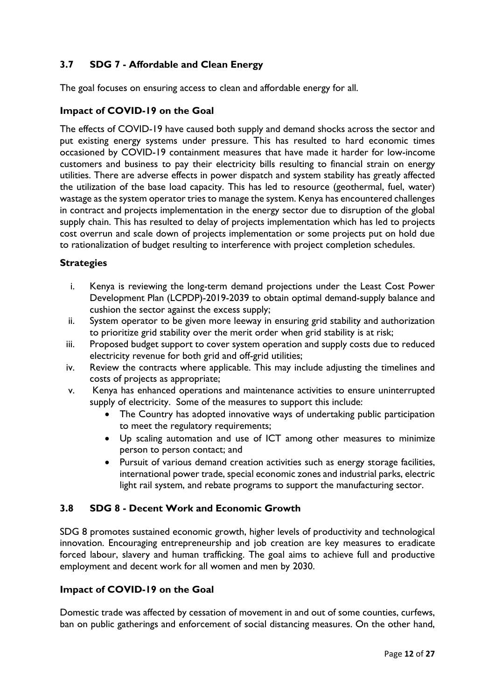# <span id="page-14-0"></span>**3.7 SDG 7 - Affordable and Clean Energy**

The goal focuses on ensuring access to clean and affordable energy for all.

### **Impact of COVID-19 on the Goal**

The effects of COVID-19 have caused both supply and demand shocks across the sector and put existing energy systems under pressure. This has resulted to hard economic times occasioned by COVID-19 containment measures that have made it harder for low-income customers and business to pay their electricity bills resulting to financial strain on energy utilities. There are adverse effects in power dispatch and system stability has greatly affected the utilization of the base load capacity. This has led to resource (geothermal, fuel, water) wastage as the system operator tries to manage the system. Kenya has encountered challenges in contract and projects implementation in the energy sector due to disruption of the global supply chain. This has resulted to delay of projects implementation which has led to projects cost overrun and scale down of projects implementation or some projects put on hold due to rationalization of budget resulting to interference with project completion schedules.

### **Strategies**

- i. Kenya is reviewing the long-term demand projections under the Least Cost Power Development Plan (LCPDP)-2019-2039 to obtain optimal demand-supply balance and cushion the sector against the excess supply;
- ii. System operator to be given more leeway in ensuring grid stability and authorization to prioritize grid stability over the merit order when grid stability is at risk;
- iii. Proposed budget support to cover system operation and supply costs due to reduced electricity revenue for both grid and off-grid utilities;
- iv. Review the contracts where applicable. This may include adjusting the timelines and costs of projects as appropriate;
- v. Kenya has enhanced operations and maintenance activities to ensure uninterrupted supply of electricity. Some of the measures to support this include:
	- The Country has adopted innovative ways of undertaking public participation to meet the regulatory requirements;
	- Up scaling automation and use of ICT among other measures to minimize person to person contact; and
	- Pursuit of various demand creation activities such as energy storage facilities, international power trade, special economic zones and industrial parks, electric light rail system, and rebate programs to support the manufacturing sector.

## <span id="page-14-1"></span>**3.8 SDG 8 - Decent Work and Economic Growth**

SDG 8 promotes sustained economic growth, higher levels of productivity and technological innovation. Encouraging entrepreneurship and job creation are key measures to eradicate forced labour, slavery and human trafficking. The goal aims to achieve full and productive employment and decent work for all women and men by 2030.

#### **Impact of COVID-19 on the Goal**

Domestic trade was affected by cessation of movement in and out of some counties, curfews, ban on public gatherings and enforcement of social distancing measures. On the other hand,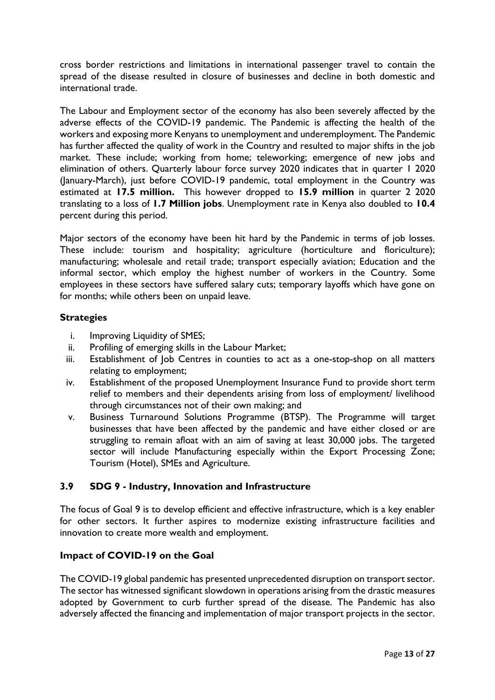cross border restrictions and limitations in international passenger travel to contain the spread of the disease resulted in closure of businesses and decline in both domestic and international trade.

The Labour and Employment sector of the economy has also been severely affected by the adverse effects of the COVID-19 pandemic. The Pandemic is affecting the health of the workers and exposing more Kenyans to unemployment and underemployment. The Pandemic has further affected the quality of work in the Country and resulted to major shifts in the job market. These include; working from home; teleworking; emergence of new jobs and elimination of others. Quarterly labour force survey 2020 indicates that in quarter 1 2020 (January-March), just before COVID-19 pandemic, total employment in the Country was estimated at **17.5 million.** This however dropped to **15.9 million** in quarter 2 2020 translating to a loss of **1.7 Million jobs**. Unemployment rate in Kenya also doubled to **10.4** percent during this period.

Major sectors of the economy have been hit hard by the Pandemic in terms of job losses. These include: tourism and hospitality; agriculture (horticulture and floriculture); manufacturing; wholesale and retail trade; transport especially aviation; Education and the informal sector, which employ the highest number of workers in the Country. Some employees in these sectors have suffered salary cuts; temporary layoffs which have gone on for months; while others been on unpaid leave.

### **Strategies**

- i. Improving Liquidity of SMES;
- ii. Profiling of emerging skills in the Labour Market;
- iii. Establishment of Job Centres in counties to act as a one-stop-shop on all matters relating to employment;
- iv. Establishment of the proposed Unemployment Insurance Fund to provide short term relief to members and their dependents arising from loss of employment/ livelihood through circumstances not of their own making; and
- v. Business Turnaround Solutions Programme (BTSP). The Programme will target businesses that have been affected by the pandemic and have either closed or are struggling to remain afloat with an aim of saving at least 30,000 jobs. The targeted sector will include Manufacturing especially within the Export Processing Zone; Tourism (Hotel), SMEs and Agriculture.

## <span id="page-15-0"></span>**3.9 SDG 9 - Industry, Innovation and Infrastructure**

The focus of Goal 9 is to develop efficient and effective infrastructure, which is a key enabler for other sectors. It further aspires to modernize existing infrastructure facilities and innovation to create more wealth and employment.

## **Impact of COVID-19 on the Goal**

The COVID-19 global pandemic has presented unprecedented disruption on transport sector. The sector has witnessed significant slowdown in operations arising from the drastic measures adopted by Government to curb further spread of the disease. The Pandemic has also adversely affected the financing and implementation of major transport projects in the sector.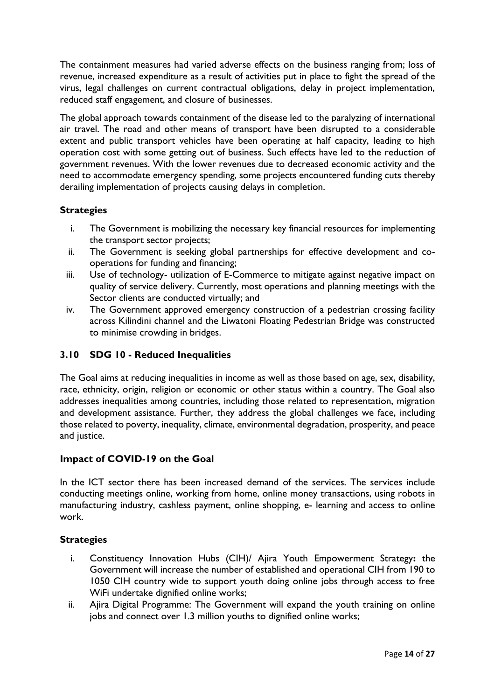The containment measures had varied adverse effects on the business ranging from; loss of revenue, increased expenditure as a result of activities put in place to fight the spread of the virus, legal challenges on current contractual obligations, delay in project implementation, reduced staff engagement, and closure of businesses.

The global approach towards containment of the disease led to the paralyzing of international air travel. The road and other means of transport have been disrupted to a considerable extent and public transport vehicles have been operating at half capacity, leading to high operation cost with some getting out of business. Such effects have led to the reduction of government revenues. With the lower revenues due to decreased economic activity and the need to accommodate emergency spending, some projects encountered funding cuts thereby derailing implementation of projects causing delays in completion.

## **Strategies**

- i. The Government is mobilizing the necessary key financial resources for implementing the transport sector projects;
- ii. The Government is seeking global partnerships for effective development and cooperations for funding and financing;
- iii. Use of technology- utilization of E-Commerce to mitigate against negative impact on quality of service delivery. Currently, most operations and planning meetings with the Sector clients are conducted virtually; and
- iv. The Government approved emergency construction of a pedestrian crossing facility across Kilindini channel and the Liwatoni Floating Pedestrian Bridge was constructed to minimise crowding in bridges.

## <span id="page-16-0"></span>**3.10 SDG 10 - Reduced Inequalities**

The Goal aims at reducing inequalities in income as well as those based on age, sex, disability, race, ethnicity, origin, religion or economic or other status within a country. The Goal also addresses inequalities among countries, including those related to representation, migration and development assistance. Further, they address the global challenges we face, including those related to poverty, inequality, climate, environmental degradation, prosperity, and peace and justice.

## **Impact of COVID-19 on the Goal**

In the ICT sector there has been increased demand of the services. The services include conducting meetings online, working from home, online money transactions, using robots in manufacturing industry, cashless payment, online shopping, e- learning and access to online work.

## **Strategies**

- i. Constituency Innovation Hubs (CIH)/ Ajira Youth Empowerment Strategy**:** the Government will increase the number of established and operational CIH from 190 to 1050 CIH country wide to support youth doing online jobs through access to free WiFi undertake dignified online works;
- ii. Ajira Digital Programme: The Government will expand the youth training on online jobs and connect over 1.3 million youths to dignified online works;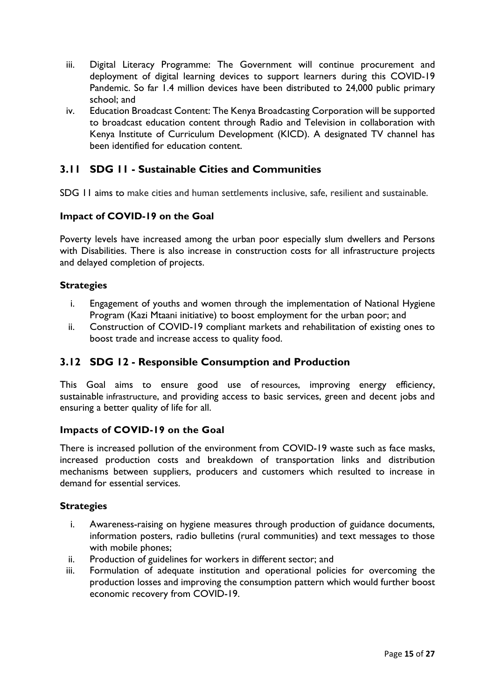- iii. Digital Literacy Programme: The Government will continue procurement and deployment of digital learning devices to support learners during this COVID-19 Pandemic. So far 1.4 million devices have been distributed to 24,000 public primary school; and
- iv. Education Broadcast Content: The Kenya Broadcasting Corporation will be supported to broadcast education content through Radio and Television in collaboration with Kenya Institute of Curriculum Development (KICD). A designated TV channel has been identified for education content.

# <span id="page-17-0"></span>**3.11 SDG 11 - Sustainable Cities and Communities**

SDG 11 aims to make cities and human settlements inclusive, safe, resilient and sustainable.

## **Impact of COVID-19 on the Goal**

Poverty levels have increased among the urban poor especially slum dwellers and Persons with Disabilities. There is also increase in construction costs for all infrastructure projects and delayed completion of projects.

## **Strategies**

- i. Engagement of youths and women through the implementation of National Hygiene Program (Kazi Mtaani initiative) to boost employment for the urban poor; and
- ii. Construction of COVID-19 compliant markets and rehabilitation of existing ones to boost trade and increase access to quality food.

# <span id="page-17-1"></span>**3.12 SDG 12 - Responsible Consumption and Production**

This Goal aims to ensure good use of [resources](https://en.wikipedia.org/wiki/Resource), improving energy efficiency, sustainable [infrastructure](https://en.wikipedia.org/wiki/Infrastructure), and providing access to basic services, green and decent jobs and ensuring a better quality of life for all.

## **Impacts of COVID-19 on the Goal**

There is increased pollution of the environment from COVID-19 waste such as face masks, increased production costs and breakdown of transportation links and distribution mechanisms between suppliers, producers and customers which resulted to increase in demand for essential services.

#### **Strategies**

- i. Awareness-raising on hygiene measures through production of guidance documents, information posters, radio bulletins (rural communities) and text messages to those with mobile phones;
- ii. Production of guidelines for workers in different sector; and
- iii. Formulation of adequate institution and operational policies for overcoming the production losses and improving the consumption pattern which would further boost economic recovery from COVID-19.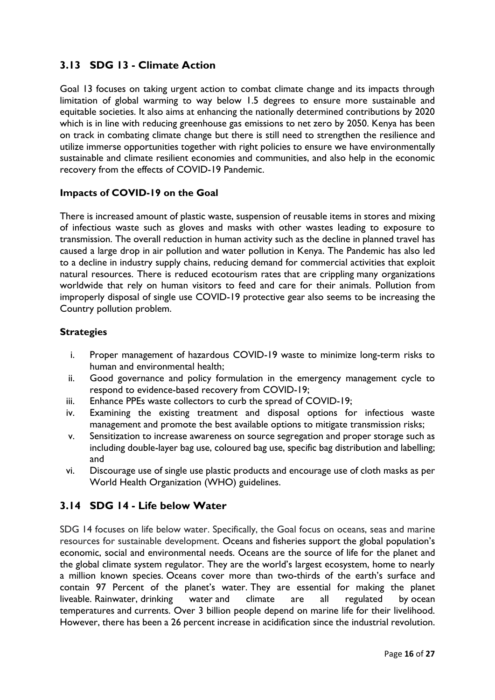# <span id="page-18-0"></span>**3.13 SDG 13 - Climate Action**

Goal 13 focuses on taking urgent action to combat climate change and its impacts through limitation of global warming to way below 1.5 degrees to ensure more sustainable and equitable societies. It also aims at enhancing the nationally determined contributions by 2020 which is in line with reducing greenhouse gas emissions to net zero by 2050. Kenya has been on track in combating climate change but there is still need to strengthen the resilience and utilize immerse opportunities together with right policies to ensure we have environmentally sustainable and climate resilient economies and communities, and also help in the economic recovery from the effects of COVID-19 Pandemic.

### **Impacts of COVID-19 on the Goal**

There is increased amount of plastic waste, suspension of reusable items in stores and mixing of infectious waste such as gloves and masks with other wastes leading to exposure to transmission. The overall reduction in human activity such as the [decline in planned travel](https://en.wikipedia.org/wiki/Economic_impact_of_the_COVID-19_pandemic#Transportation) has caused a large drop in [air pollution](https://en.wikipedia.org/wiki/Air_pollution) and [water pollution](https://en.wikipedia.org/wiki/Water_pollution) in Kenya. The Pandemic has also led to a decline in industry supply chains, reducing demand for commercial activities that exploit natural resources. There is reduced ecotourism rates that are crippling many organizations worldwide that rely on human visitors to feed and care for their animals. Pollution from improperly disposal of single use COVID-19 protective gear [also seems to be increasing](https://brill.com/view/journals/ab/aop/article-10.1163-15707563-bja10052/article-10.1163-15707563-bja10052.xml) the Country pollution problem.

## **Strategies**

- i. Proper management of hazardous COVID-19 waste to minimize long-term risks to human and environmental health;
- ii. Good governance and policy formulation in the emergency management cycle to respond to evidence-based recovery from COVID-19;
- iii. Enhance PPEs waste collectors to curb the spread of COVID-19;
- iv. Examining the existing treatment and disposal options for infectious waste management and promote the best available options to mitigate transmission risks;
- v. Sensitization to increase awareness on source segregation and proper storage such as including double-layer bag use, coloured bag use, specific bag distribution and labelling; and
- vi. Discourage use of single use plastic products and encourage use of cloth masks as per World Health Organization (WHO) guidelines.

## <span id="page-18-1"></span>**3.14 SDG 14 - Life below Water**

SDG 14 focuses on life below water. Specifically, the Goal focus on oceans, seas and marine resources for sustainable development. [Oceans](https://en.wikipedia.org/wiki/Ocean) and [fisheries](https://en.wikipedia.org/wiki/Fishery) support the global population's economic, social and environmental needs. Oceans are the source of life for the planet and the global climate system regulator. They are the world's largest ecosystem, home to nearly a million known species. Oceans cover more than two-thirds of the earth's surface and contain 97 Percent of the planet's water. They are essential for making the planet liveable. [Rainwater,](https://en.wikipedia.org/wiki/Rainwater) [drinking water](https://en.wikipedia.org/wiki/Drinking_water) and climate are all regulated by [ocean](https://en.wikipedia.org/wiki/Ocean_temperature)  [temperatures](https://en.wikipedia.org/wiki/Ocean_temperature) and [currents.](https://en.wikipedia.org/wiki/Ocean_current) Over 3 billion people depend on marine life for their livelihood. However, there has been a 26 percent increase in [acidification](https://en.wikipedia.org/wiki/Ocean_acidification) since the [industrial revolution.](https://en.wikipedia.org/wiki/Industrial_revolution)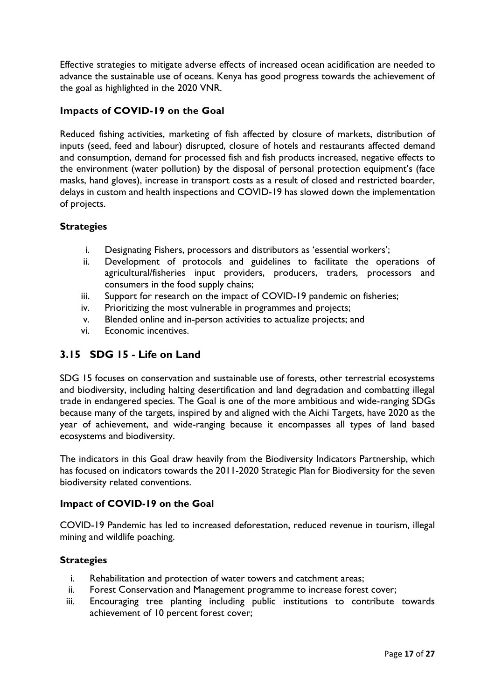Effective strategies to mitigate adverse effects of increased [ocean acidification](https://en.wikipedia.org/wiki/Ocean_acidification) are needed to advance the sustainable use of oceans. Kenya has good progress towards the achievement of the goal as highlighted in the 2020 VNR.

## **Impacts of COVID-19 on the Goal**

Reduced fishing activities, marketing of fish affected by closure of markets, distribution of inputs (seed, feed and labour) disrupted, closure of hotels and restaurants affected demand and consumption, demand for processed fish and fish products increased, negative effects to the environment (water pollution) by the disposal of personal protection equipment's (face masks, hand gloves), increase in transport costs as a result of closed and restricted boarder, delays in custom and health inspections and COVID-19 has slowed down the implementation of projects.

### **Strategies**

- i. Designating Fishers, processors and distributors as 'essential workers';
- ii. Development of protocols and guidelines to facilitate the operations of agricultural/fisheries input providers, producers, traders, processors and consumers in the food supply chains;
- iii. Support for research on the impact of COVID-19 pandemic on fisheries;
- iv. Prioritizing the most vulnerable in programmes and projects;
- v. Blended online and in-person activities to actualize projects; and
- vi. Economic incentives.

# <span id="page-19-0"></span>**3.15 SDG 15 - Life on Land**

SDG 15 focuses on conservation and sustainable use of forests, other terrestrial ecosystems and biodiversity, including halting desertification and land degradation and combatting illegal trade in endangered species. The Goal is one of the more ambitious and wide-ranging SDGs because many of the targets, inspired by and aligned with the Aichi Targets, have 2020 as the year of achievement, and wide-ranging because it encompasses all types of land based ecosystems and biodiversity.

The indicators in this Goal draw heavily from the Biodiversity Indicators Partnership, which has focused on indicators towards the 2011-2020 Strategic Plan for Biodiversity for the seven biodiversity related conventions.

### **Impact of COVID-19 on the Goal**

COVID-19 Pandemic has led to increased deforestation, reduced revenue in tourism, illegal mining and wildlife poaching.

#### **Strategies**

- i. Rehabilitation and protection of water towers and catchment areas;
- ii. Forest Conservation and Management programme to increase forest cover;
- iii. Encouraging tree planting including public institutions to contribute towards achievement of 10 percent forest cover;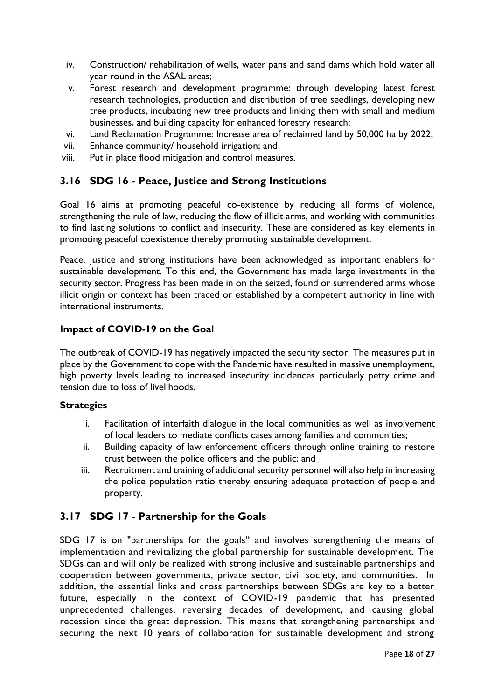- iv. Construction/ rehabilitation of wells, water pans and sand dams which hold water all year round in the ASAL areas;
- v. Forest research and development programme: through developing latest forest research technologies, production and distribution of tree seedlings, developing new tree products, incubating new tree products and linking them with small and medium businesses, and building capacity for enhanced forestry research;
- vi. Land Reclamation Programme: Increase area of reclaimed land by 50,000 ha by 2022;
- vii. Enhance community/ household irrigation; and
- viii. Put in place flood mitigation and control measures.

# <span id="page-20-0"></span>**3.16 SDG 16 - Peace, Justice and Strong Institutions**

Goal 16 aims at promoting peaceful co-existence by reducing all forms of violence, strengthening the rule of law, reducing the flow of illicit arms, and working with communities to find lasting solutions to conflict and insecurity. These are considered as key elements in promoting peaceful coexistence thereby promoting sustainable development.

Peace, justice and strong institutions have been acknowledged as important enablers for sustainable development. To this end, the Government has made large investments in the security sector. Progress has been made in on the seized, found or surrendered arms whose illicit origin or context has been traced or established by a competent authority in line with international instruments.

### **Impact of COVID-19 on the Goal**

The outbreak of COVID-19 has negatively impacted the security sector. The measures put in place by the Government to cope with the Pandemic have resulted in massive unemployment, high poverty levels leading to increased insecurity incidences particularly petty crime and tension due to loss of livelihoods.

#### **Strategies**

- i. Facilitation of interfaith dialogue in the local communities as well as involvement of local leaders to mediate conflicts cases among families and communities;
- ii. Building capacity of law enforcement officers through online training to restore trust between the police officers and the public; and
- iii. Recruitment and training of additional security personnel will also help in increasing the police population ratio thereby ensuring adequate protection of people and property.

# <span id="page-20-1"></span>**3.17 SDG 17 - Partnership for the Goals**

SDG 17 is on "partnerships for the goals" and involves strengthening the means of implementation and revitalizing the global partnership for sustainable development. The SDGs can and will only be realized with strong inclusive and sustainable partnerships and cooperation between governments, private sector, civil society, and communities. In addition, the essential links and cross partnerships between SDGs are key to a better future, especially in the context of COVID-19 pandemic that has presented unprecedented challenges, reversing decades of development, and causing global recession since the great depression. This means that strengthening partnerships and securing the next 10 years of collaboration for sustainable development and strong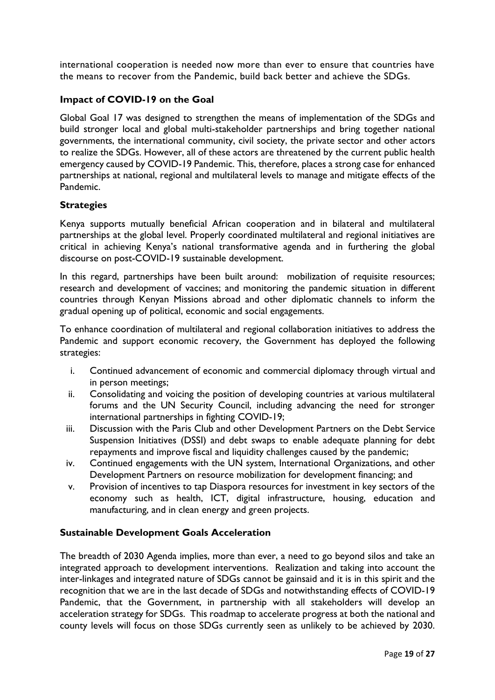international cooperation is needed now more than ever to ensure that countries have the means to recover from the Pandemic, build back better and achieve the SDGs.

## **Impact of COVID-19 on the Goal**

Global Goal 17 was designed to strengthen the means of implementation of the SDGs and build stronger local and global multi-stakeholder partnerships and bring together national governments, the international community, civil society, the private sector and other actors to realize the SDGs. However, all of these actors are threatened by the current public health emergency caused by COVID-19 Pandemic. This, therefore, places a strong case for enhanced partnerships at national, regional and multilateral levels to manage and mitigate effects of the Pandemic.

## **Strategies**

Kenya supports mutually beneficial African cooperation and in bilateral and multilateral partnerships at the global level. Properly coordinated multilateral and regional initiatives are critical in achieving Kenya's national transformative agenda and in furthering the global discourse on post-COVID-19 sustainable development.

In this regard, partnerships have been built around: mobilization of requisite resources; research and development of vaccines; and monitoring the pandemic situation in different countries through Kenyan Missions abroad and other diplomatic channels to inform the gradual opening up of political, economic and social engagements.

To enhance coordination of multilateral and regional collaboration initiatives to address the Pandemic and support economic recovery, the Government has deployed the following strategies:

- i. Continued advancement of economic and commercial diplomacy through virtual and in person meetings;
- ii. Consolidating and voicing the position of developing countries at various multilateral forums and the UN Security Council, including advancing the need for stronger international partnerships in fighting COVID-19;
- iii. Discussion with the Paris Club and other Development Partners on the Debt Service Suspension Initiatives (DSSI) and debt swaps to enable adequate planning for debt repayments and improve fiscal and liquidity challenges caused by the pandemic;
- iv. Continued engagements with the UN system, International Organizations, and other Development Partners on resource mobilization for development financing; and
- v. Provision of incentives to tap Diaspora resources for investment in key sectors of the economy such as health, ICT, digital infrastructure, housing, education and manufacturing, and in clean energy and green projects.

## <span id="page-21-0"></span>**Sustainable Development Goals Acceleration**

The breadth of 2030 Agenda implies, more than ever, a need to go beyond silos and take an integrated approach to development interventions. Realization and taking into account the inter-linkages and integrated nature of SDGs cannot be gainsaid and it is in this spirit and the recognition that we are in the last decade of SDGs and notwithstanding effects of COVID-19 Pandemic, that the Government, in partnership with all stakeholders will develop an acceleration strategy for SDGs. This roadmap to accelerate progress at both the national and county levels will focus on those SDGs currently seen as unlikely to be achieved by 2030.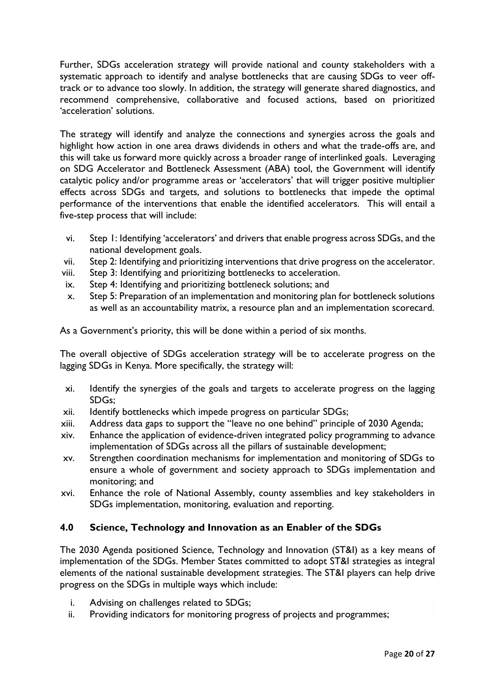Further, SDGs acceleration strategy will provide national and county stakeholders with a systematic approach to identify and analyse bottlenecks that are causing SDGs to veer offtrack or to advance too slowly. In addition, the strategy will generate shared diagnostics, and recommend comprehensive, collaborative and focused actions, based on prioritized 'acceleration' solutions.

The strategy will identify and analyze the connections and synergies across the goals and highlight how action in one area draws dividends in others and what the trade-offs are, and this will take us forward more quickly across a broader range of interlinked goals. Leveraging on SDG Accelerator and Bottleneck Assessment (ABA) tool, the Government will identify catalytic policy and/or programme areas or 'accelerators' that will trigger positive multiplier effects across SDGs and targets, and solutions to bottlenecks that impede the optimal performance of the interventions that enable the identified accelerators. This will entail a five-step process that will include:

- vi. Step 1: Identifying 'accelerators' and drivers that enable progress across SDGs, and the national development goals.
- vii. Step 2: Identifying and prioritizing interventions that drive progress on the accelerator.
- viii. Step 3: Identifying and prioritizing bottlenecks to acceleration.
- ix. Step 4: Identifying and prioritizing bottleneck solutions; and
- x. Step 5: Preparation of an implementation and monitoring plan for bottleneck solutions as well as an accountability matrix, a resource plan and an implementation scorecard.

As a Government's priority, this will be done within a period of six months.

The overall objective of SDGs acceleration strategy will be to accelerate progress on the lagging SDGs in Kenya. More specifically, the strategy will:

- xi. Identify the synergies of the goals and targets to accelerate progress on the lagging SDGs;
- xii. Identify bottlenecks which impede progress on particular SDGs;
- xiii. Address data gaps to support the "leave no one behind" principle of 2030 Agenda;
- xiv. Enhance the application of evidence-driven integrated policy programming to advance implementation of SDGs across all the pillars of sustainable development;
- xv. Strengthen coordination mechanisms for implementation and monitoring of SDGs to ensure a whole of government and society approach to SDGs implementation and monitoring; and
- xvi. Enhance the role of National Assembly, county assemblies and key stakeholders in SDGs implementation, monitoring, evaluation and reporting.

## <span id="page-22-0"></span>**4.0 Science, Technology and Innovation as an Enabler of the SDGs**

The 2030 Agenda positioned Science, Technology and Innovation (ST&I) as a key means of implementation of the SDGs. Member States committed to adopt ST&I strategies as integral elements of the national sustainable development strategies. The ST&I players can help drive progress on the SDGs in multiple ways which include:

- i. Advising on challenges related to SDGs;
- ii. Providing indicators for monitoring progress of projects and programmes;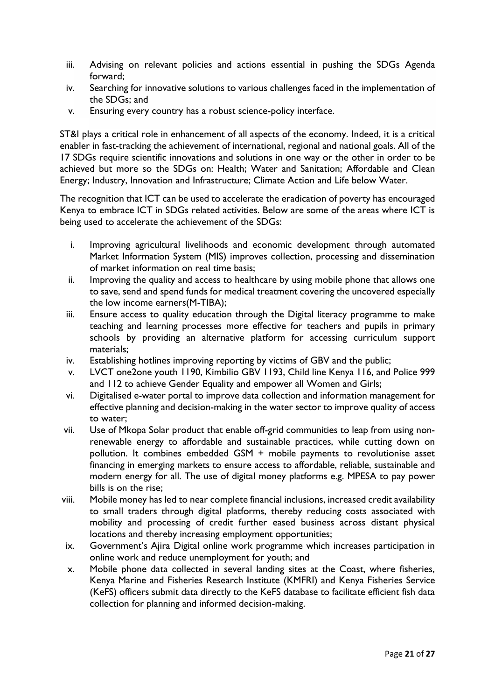- iii. Advising on relevant policies and actions essential in pushing the SDGs Agenda forward;
- iv. Searching for innovative solutions to various challenges faced in the implementation of the SDGs; and
- v. Ensuring every country has a robust science-policy interface.

ST&I plays a critical role in enhancement of all aspects of the economy. Indeed, it is a critical enabler in fast-tracking the achievement of international, regional and national goals. All of the 17 SDGs require scientific innovations and solutions in one way or the other in order to be achieved but more so the SDGs on: Health; Water and Sanitation; Affordable and Clean Energy; Industry, Innovation and Infrastructure; Climate Action and Life below Water.

The recognition that ICT can be used to accelerate the eradication of poverty has encouraged Kenya to embrace ICT in SDGs related activities. Below are some of the areas where ICT is being used to accelerate the achievement of the SDGs:

- i. Improving agricultural livelihoods and economic development through automated Market Information System (MIS) improves collection, processing and dissemination of market information on real time basis;
- ii. Improving the quality and access to healthcare by using mobile phone that allows one to save, send and spend funds for medical treatment covering the uncovered especially the low income earners(M-TIBA);
- iii. Ensure access to quality education through the Digital literacy programme to make teaching and learning processes more effective for teachers and pupils in primary schools by providing an alternative platform for accessing curriculum support materials;
- iv. Establishing hotlines improving reporting by victims of GBV and the public;
- v. LVCT one2one youth 1190, Kimbilio GBV 1193, Child line Kenya 116, and Police 999 and 112 to achieve Gender Equality and empower all Women and Girls;
- vi. Digitalised e-water portal to improve data collection and information management for effective planning and decision-making in the water sector to improve quality of access to water;
- vii. Use of Mkopa Solar product that enable off-grid communities to leap from using nonrenewable energy to affordable and sustainable practices, while cutting down on pollution. It combines embedded GSM + mobile payments to revolutionise asset financing in emerging markets to ensure access to affordable, reliable, sustainable and modern energy for all. The use of digital money platforms e.g. MPESA to pay power bills is on the rise;
- viii. Mobile money has led to near complete financial inclusions, increased credit availability to small traders through digital platforms, thereby reducing costs associated with mobility and processing of credit further eased business across distant physical locations and thereby increasing employment opportunities;
- ix. Government's Ajira Digital online work programme which increases participation in online work and reduce unemployment for youth; and
- x. Mobile phone data collected in several landing sites at the Coast, where fisheries, Kenya Marine and Fisheries Research Institute (KMFRI) and Kenya Fisheries Service (KeFS) officers submit data directly to the KeFS database to facilitate efficient fish data collection for planning and informed decision-making.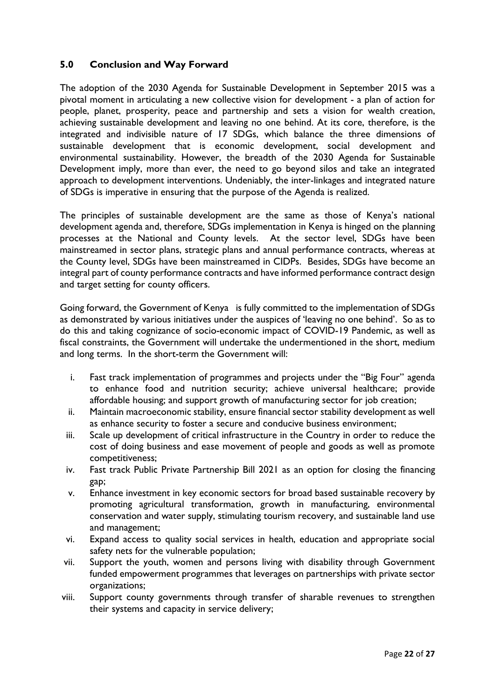## <span id="page-24-0"></span>**5.0 Conclusion and Way Forward**

The adoption of the 2030 Agenda for Sustainable Development in September 2015 was a pivotal moment in articulating a new collective vision for development - a plan of action for people, planet, prosperity, peace and partnership and sets a vision for wealth creation, achieving sustainable development and leaving no one behind. At its core, therefore, is the integrated and indivisible nature of 17 SDGs, which balance the three dimensions of sustainable development that is economic development, social development and environmental sustainability. However, the breadth of the 2030 Agenda for Sustainable Development imply, more than ever, the need to go beyond silos and take an integrated approach to development interventions. Undeniably, the inter-linkages and integrated nature of SDGs is imperative in ensuring that the purpose of the Agenda is realized.

The principles of sustainable development are the same as those of Kenya's national development agenda and, therefore, SDGs implementation in Kenya is hinged on the planning processes at the National and County levels. At the sector level, SDGs have been mainstreamed in sector plans, strategic plans and annual performance contracts, whereas at the County level, SDGs have been mainstreamed in CIDPs. Besides, SDGs have become an integral part of county performance contracts and have informed performance contract design and target setting for county officers.

Going forward, the Government of Kenya is fully committed to the implementation of SDGs as demonstrated by various initiatives under the auspices of 'leaving no one behind'. So as to do this and taking cognizance of socio-economic impact of COVID-19 Pandemic, as well as fiscal constraints, the Government will undertake the undermentioned in the short, medium and long terms. In the short-term the Government will:

- i. Fast track implementation of programmes and projects under the "Big Four" agenda to enhance food and nutrition security; achieve universal healthcare; provide affordable housing; and support growth of manufacturing sector for job creation;
- ii. Maintain macroeconomic stability, ensure financial sector stability development as well as enhance security to foster a secure and conducive business environment;
- iii. Scale up development of critical infrastructure in the Country in order to reduce the cost of doing business and ease movement of people and goods as well as promote competitiveness;
- iv. Fast track Public Private Partnership Bill 2021 as an option for closing the financing gap;
- v. Enhance investment in key economic sectors for broad based sustainable recovery by promoting agricultural transformation, growth in manufacturing, environmental conservation and water supply, stimulating tourism recovery, and sustainable land use and management;
- vi. Expand access to quality social services in health, education and appropriate social safety nets for the vulnerable population;
- vii. Support the youth, women and persons living with disability through Government funded empowerment programmes that leverages on partnerships with private sector organizations;
- viii. Support county governments through transfer of sharable revenues to strengthen their systems and capacity in service delivery;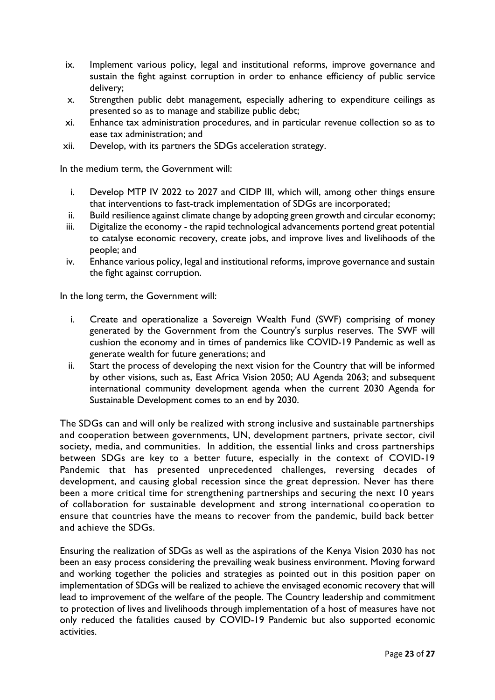- ix. Implement various policy, legal and institutional reforms, improve governance and sustain the fight against corruption in order to enhance efficiency of public service delivery;
- x. Strengthen public debt management, especially adhering to expenditure ceilings as presented so as to manage and stabilize public debt;
- xi. Enhance tax administration procedures, and in particular revenue collection so as to ease tax administration; and
- xii. Develop, with its partners the SDGs acceleration strategy.

In the medium term, the Government will:

- i. Develop MTP IV 2022 to 2027 and CIDP III, which will, among other things ensure that interventions to fast-track implementation of SDGs are incorporated;
- ii. Build resilience against climate change by adopting green growth and circular economy;
- iii. Digitalize the economy the rapid technological advancements portend great potential to catalyse economic recovery, create jobs, and improve lives and livelihoods of the people; and
- iv. Enhance various policy, legal and institutional reforms, improve governance and sustain the fight against corruption.

In the long term, the Government will:

- i. Create and operationalize a Sovereign Wealth Fund (SWF) comprising of money generated by the Government from the Country's surplus reserves. The SWF will cushion the economy and in times of pandemics like COVID-19 Pandemic as well as generate wealth for future generations; and
- ii. Start the process of developing the next vision for the Country that will be informed by other visions, such as, East Africa Vision 2050; AU Agenda 2063; and subsequent international community development agenda when the current 2030 Agenda for Sustainable Development comes to an end by 2030.

The SDGs can and will only be realized with strong inclusive and sustainable partnerships and cooperation between governments, UN, development partners, private sector, civil society, media, and communities. In addition, the essential links and cross partnerships between SDGs are key to a better future, especially in the context of COVID-19 Pandemic that has presented unprecedented challenges, reversing decades of development, and causing global recession since the great depression. Never has there been a more critical time for strengthening partnerships and securing the next 10 years of collaboration for sustainable development and strong international cooperation to ensure that countries have the means to recover from the pandemic, build back better and achieve the SDGs.

Ensuring the realization of SDGs as well as the aspirations of the Kenya Vision 2030 has not been an easy process considering the prevailing weak business environment. Moving forward and working together the policies and strategies as pointed out in this position paper on implementation of SDGs will be realized to achieve the envisaged economic recovery that will lead to improvement of the welfare of the people. The Country leadership and commitment to protection of lives and livelihoods through implementation of a host of measures have not only reduced the fatalities caused by COVID-19 Pandemic but also supported economic activities.